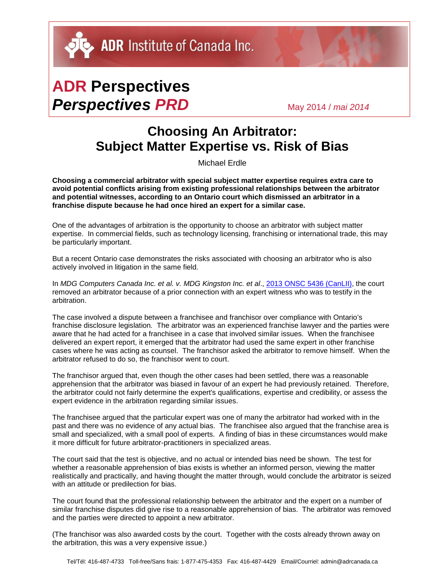DU ADR Institute of Canada Inc.

## **ADR Perspectives** *Perspectives PRD* May 2014 / *mai <sup>2014</sup>*

## **Choosing An Arbitrator: Subject Matter Expertise vs. Risk of Bias**

Michael Erdle

**Choosing a commercial arbitrator with special subject matter expertise requires extra care to avoid potential conflicts arising from existing professional relationships between the arbitrator and potential witnesses, according to an Ontario court which dismissed an arbitrator in a franchise dispute because he had once hired an expert for a similar case.** 

One of the advantages of arbitration is the opportunity to choose an arbitrator with subject matter expertise. In commercial fields, such as technology licensing, franchising or international trade, this may be particularly important.

But a recent Ontario case demonstrates the risks associated with choosing an arbitrator who is also actively involved in litigation in the same field.

In *MDG Computers Canada Inc. et al. v. MDG Kingston Inc. et al.*, [2013 ONSC 5436 \(CanLII\),](http://canlii.org/en/on/onsc/doc/2013/2013onsc5436/2013onsc5436.html) the court removed an arbitrator because of a prior connection with an expert witness who was to testify in the arbitration.

The case involved a dispute between a franchisee and franchisor over compliance with Ontario's franchise disclosure legislation*.* The arbitrator was an experienced franchise lawyer and the parties were aware that he had acted for a franchisee in a case that involved similar issues. When the franchisee delivered an expert report, it emerged that the arbitrator had used the same expert in other franchise cases where he was acting as counsel. The franchisor asked the arbitrator to remove himself. When the arbitrator refused to do so, the franchisor went to court.

The franchisor argued that, even though the other cases had been settled, there was a reasonable apprehension that the arbitrator was biased in favour of an expert he had previously retained. Therefore, the arbitrator could not fairly determine the expert's qualifications, expertise and credibility, or assess the expert evidence in the arbitration regarding similar issues.

The franchisee argued that the particular expert was one of many the arbitrator had worked with in the past and there was no evidence of any actual bias. The franchisee also argued that the franchise area is small and specialized, with a small pool of experts. A finding of bias in these circumstances would make it more difficult for future arbitrator-practitioners in specialized areas.

The court said that the test is objective, and no actual or intended bias need be shown. The test for whether a reasonable apprehension of bias exists is whether an informed person, viewing the matter realistically and practically, and having thought the matter through, would conclude the arbitrator is seized with an attitude or predilection for bias.

The court found that the professional relationship between the arbitrator and the expert on a number of similar franchise disputes did give rise to a reasonable apprehension of bias. The arbitrator was removed and the parties were directed to appoint a new arbitrator.

(The franchisor was also awarded costs by the court. Together with the costs already thrown away on the arbitration, this was a very expensive issue.)